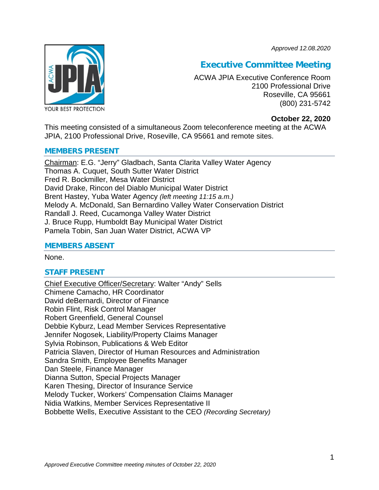*Approved 12.08.2020*



# **Executive Committee Meeting**

ACWA JPIA Executive Conference Room 2100 Professional Drive Roseville, CA 95661 (800) 231-5742

# **October 22, 2020**

This meeting consisted of a simultaneous Zoom teleconference meeting at the ACWA JPIA, 2100 Professional Drive, Roseville, CA 95661 and remote sites.

## **MEMBERS PRESENT**

Chairman: E.G. "Jerry" Gladbach, Santa Clarita Valley Water Agency Thomas A. Cuquet, South Sutter Water District Fred R. Bockmiller, Mesa Water District David Drake, Rincon del Diablo Municipal Water District Brent Hastey, Yuba Water Agency *(left meeting 11:15 a.m.)* Melody A. McDonald, San Bernardino Valley Water Conservation District Randall J. Reed, Cucamonga Valley Water District J. Bruce Rupp, Humboldt Bay Municipal Water District Pamela Tobin, San Juan Water District, ACWA VP

# **MEMBERS ABSENT**

None.

# **STAFF PRESENT**

Chief Executive Officer/Secretary: Walter "Andy" Sells Chimene Camacho, HR Coordinator David deBernardi, Director of Finance Robin Flint, Risk Control Manager Robert Greenfield, General Counsel Debbie Kyburz, Lead Member Services Representative Jennifer Nogosek, Liability/Property Claims Manager Sylvia Robinson, Publications & Web Editor Patricia Slaven, Director of Human Resources and Administration Sandra Smith, Employee Benefits Manager Dan Steele, Finance Manager Dianna Sutton, Special Projects Manager Karen Thesing, Director of Insurance Service Melody Tucker, Workers' Compensation Claims Manager Nidia Watkins, Member Services Representative II Bobbette Wells, Executive Assistant to the CEO *(Recording Secretary)*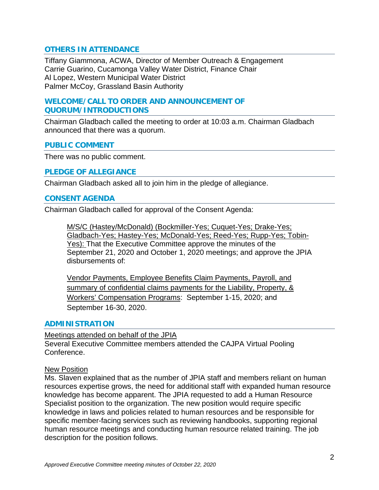# **OTHERS IN ATTENDANCE**

Tiffany Giammona, ACWA, Director of Member Outreach & Engagement Carrie Guarino, Cucamonga Valley Water District, Finance Chair Al Lopez, Western Municipal Water District Palmer McCoy, Grassland Basin Authority

# **WELCOME/CALL TO ORDER AND ANNOUNCEMENT OF QUORUM/INTRODUCTIONS**

Chairman Gladbach called the meeting to order at 10:03 a.m. Chairman Gladbach announced that there was a quorum.

#### **PUBLIC COMMENT**

There was no public comment.

## **PLEDGE OF ALLEGIANCE**

Chairman Gladbach asked all to join him in the pledge of allegiance.

## **CONSENT AGENDA**

Chairman Gladbach called for approval of the Consent Agenda:

M/S/C (Hastey/McDonald) (Bockmiller-Yes; Cuquet-Yes; Drake-Yes; Gladbach-Yes; Hastey-Yes; McDonald-Yes; Reed-Yes; Rupp-Yes; Tobin-Yes): That the Executive Committee approve the minutes of the September 21, 2020 and October 1, 2020 meetings; and approve the JPIA disbursements of:

Vendor Payments, Employee Benefits Claim Payments, Payroll, and summary of confidential claims payments for the Liability, Property, & Workers' Compensation Programs: September 1-15, 2020; and September 16-30, 2020.

# **ADMINISTRATION**

Meetings attended on behalf of the JPIA Several Executive Committee members attended the CAJPA Virtual Pooling Conference.

#### New Position

Ms. Slaven explained that as the number of JPIA staff and members reliant on human resources expertise grows, the need for additional staff with expanded human resource knowledge has become apparent. The JPIA requested to add a Human Resource Specialist position to the organization. The new position would require specific knowledge in laws and policies related to human resources and be responsible for specific member-facing services such as reviewing handbooks, supporting regional human resource meetings and conducting human resource related training. The job description for the position follows.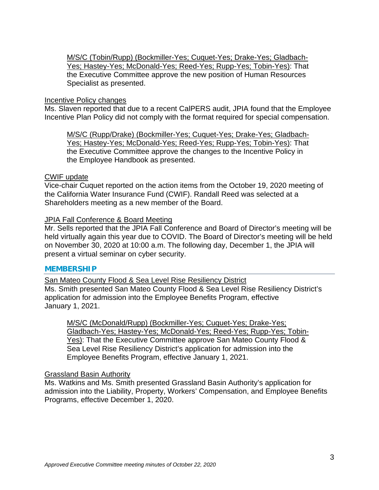M/S/C (Tobin/Rupp) (Bockmiller-Yes; Cuquet-Yes; Drake-Yes; Gladbach-Yes; Hastey-Yes; McDonald-Yes; Reed-Yes; Rupp-Yes; Tobin-Yes): That the Executive Committee approve the new position of Human Resources Specialist as presented.

#### Incentive Policy changes

Ms. Slaven reported that due to a recent CalPERS audit, JPIA found that the Employee Incentive Plan Policy did not comply with the format required for special compensation.

M/S/C (Rupp/Drake) (Bockmiller-Yes; Cuquet-Yes; Drake-Yes; Gladbach-Yes; Hastey-Yes; McDonald-Yes; Reed-Yes; Rupp-Yes; Tobin-Yes): That the Executive Committee approve the changes to the Incentive Policy in the Employee Handbook as presented.

## CWIF update

Vice-chair Cuquet reported on the action items from the October 19, 2020 meeting of the California Water Insurance Fund (CWIF). Randall Reed was selected at a Shareholders meeting as a new member of the Board.

## JPIA Fall Conference & Board Meeting

Mr. Sells reported that the JPIA Fall Conference and Board of Director's meeting will be held virtually again this year due to COVID. The Board of Director's meeting will be held on November 30, 2020 at 10:00 a.m. The following day, December 1, the JPIA will present a virtual seminar on cyber security.

#### **MEMBERSHIP**

San Mateo County Flood & Sea Level Rise Resiliency District

Ms. Smith presented San Mateo County Flood & Sea Level Rise Resiliency District's application for admission into the Employee Benefits Program, effective January 1, 2021.

M/S/C (McDonald/Rupp) (Bockmiller-Yes; Cuquet-Yes; Drake-Yes; Gladbach-Yes; Hastey-Yes; McDonald-Yes; Reed-Yes; Rupp-Yes; Tobin-Yes): That the Executive Committee approve San Mateo County Flood & Sea Level Rise Resiliency District's application for admission into the Employee Benefits Program, effective January 1, 2021.

# Grassland Basin Authority

Ms. Watkins and Ms. Smith presented Grassland Basin Authority's application for admission into the Liability, Property, Workers' Compensation, and Employee Benefits Programs, effective December 1, 2020.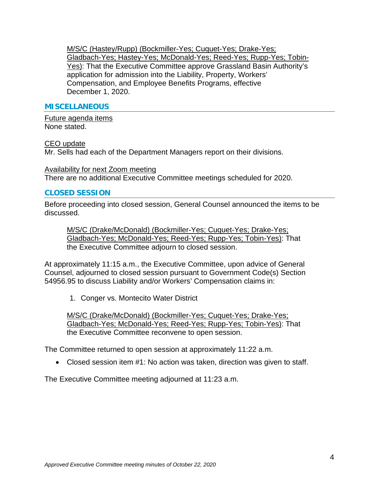M/S/C (Hastey/Rupp) (Bockmiller-Yes; Cuquet-Yes; Drake-Yes; Gladbach-Yes; Hastey-Yes; McDonald-Yes; Reed-Yes; Rupp-Yes; Tobin-Yes): That the Executive Committee approve Grassland Basin Authority's application for admission into the Liability, Property, Workers' Compensation, and Employee Benefits Programs, effective December 1, 2020.

## **MISCELLANEOUS**

Future agenda items None stated.

#### CEO update

Mr. Sells had each of the Department Managers report on their divisions.

Availability for next Zoom meeting There are no additional Executive Committee meetings scheduled for 2020.

## **CLOSED SESSION**

Before proceeding into closed session, General Counsel announced the items to be discussed.

M/S/C (Drake/McDonald) (Bockmiller-Yes; Cuquet-Yes; Drake-Yes; Gladbach-Yes; McDonald-Yes; Reed-Yes; Rupp-Yes; Tobin-Yes): That the Executive Committee adjourn to closed session.

At approximately 11:15 a.m., the Executive Committee, upon advice of General Counsel, adjourned to closed session pursuant to Government Code(s) Section 54956.95 to discuss Liability and/or Workers' Compensation claims in:

1. Conger vs. Montecito Water District

M/S/C (Drake/McDonald) (Bockmiller-Yes; Cuquet-Yes; Drake-Yes; Gladbach-Yes; McDonald-Yes; Reed-Yes; Rupp-Yes; Tobin-Yes): That the Executive Committee reconvene to open session.

The Committee returned to open session at approximately 11:22 a.m.

• Closed session item #1: No action was taken, direction was given to staff.

The Executive Committee meeting adjourned at 11:23 a.m.